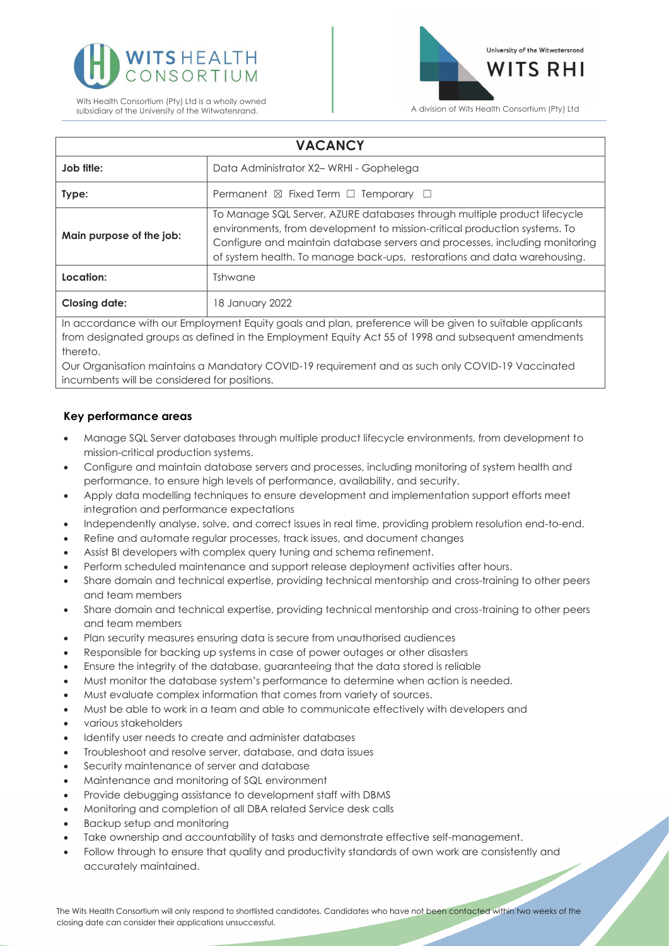



| <b>VACANCY</b>                                                                                           |                                                                                                                                                                                                                                                                                                                  |
|----------------------------------------------------------------------------------------------------------|------------------------------------------------------------------------------------------------------------------------------------------------------------------------------------------------------------------------------------------------------------------------------------------------------------------|
| Job title:                                                                                               | Data Administrator X2-WRHI - Gophelega                                                                                                                                                                                                                                                                           |
| Type:                                                                                                    | Permanent $\boxtimes$ Fixed Term $\Box$ Temporary $\Box$                                                                                                                                                                                                                                                         |
| Main purpose of the job:                                                                                 | To Manage SQL Server, AZURE databases through multiple product lifecycle<br>environments, from development to mission-critical production systems. To<br>Configure and maintain database servers and processes, including monitoring<br>of system health. To manage back-ups, restorations and data warehousing. |
| Location:                                                                                                | Tshwane                                                                                                                                                                                                                                                                                                          |
| <b>Closing date:</b>                                                                                     | 18 January 2022                                                                                                                                                                                                                                                                                                  |
| In accordance with our Employment Faulty goals and plan, preference will be given to suitable applicants |                                                                                                                                                                                                                                                                                                                  |

aance with our Employment Equity goals and plan, preterence will be given to suitable app from designated groups as defined in the Employment Equity Act 55 of 1998 and subsequent amendments thereto.

Our Organisation maintains a Mandatory COVID-19 requirement and as such only COVID-19 Vaccinated incumbents will be considered for positions.

## **Key performance areas**

- Manage SQL Server databases through multiple product lifecycle environments, from development to mission-critical production systems.
- Configure and maintain database servers and processes, including monitoring of system health and performance, to ensure high levels of performance, availability, and security.
- Apply data modelling techniques to ensure development and implementation support efforts meet integration and performance expectations
- Independently analyse, solve, and correct issues in real time, providing problem resolution end-to-end.
- Refine and automate regular processes, track issues, and document changes
- Assist BI developers with complex query tuning and schema refinement.
- Perform scheduled maintenance and support release deployment activities after hours.
- Share domain and technical expertise, providing technical mentorship and cross-training to other peers and team members
- Share domain and technical expertise, providing technical mentorship and cross-training to other peers and team members
- Plan security measures ensuring data is secure from unauthorised audiences
- Responsible for backing up systems in case of power outages or other disasters
- Ensure the integrity of the database, guaranteeing that the data stored is reliable
- Must monitor the database system's performance to determine when action is needed.
- Must evaluate complex information that comes from variety of sources.
- Must be able to work in a team and able to communicate effectively with developers and
- various stakeholders
- Identify user needs to create and administer databases
- Troubleshoot and resolve server, database, and data issues
- Security maintenance of server and database
- Maintenance and monitoring of SQL environment
- Provide debugging assistance to development staff with DBMS
- Monitoring and completion of all DBA related Service desk calls
- Backup setup and monitoring
- Take ownership and accountability of tasks and demonstrate effective self-management.
- Follow through to ensure that quality and productivity standards of own work are consistently and accurately maintained.